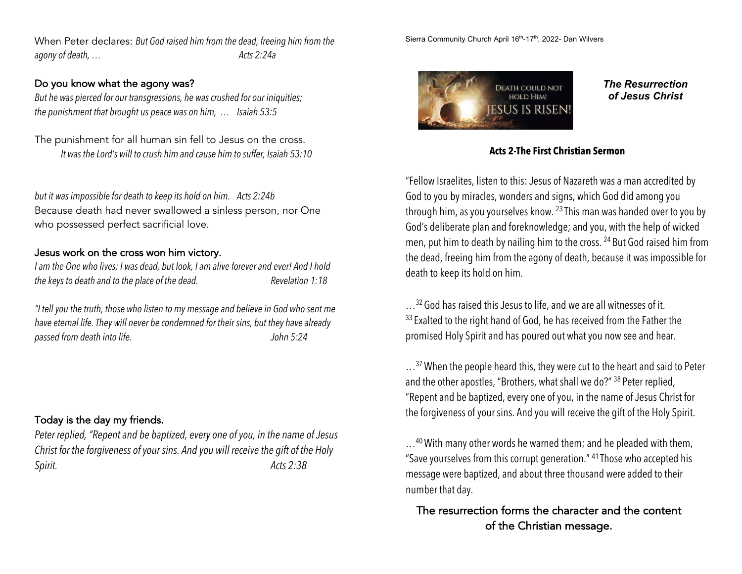When Peter declares: *But God raised him from the dead, freeing him from the agony of death, … Acts 2:24a*

#### Do you know what the agony was?

*But he was pierced for our transgressions, he was crushed for our iniquities; the punishment that brought us peace was on him, … Isaiah 53:5*

The punishment for all human sin fell to Jesus on the cross. *It was the Lord's will to crush him and cause him to suffer, Isaiah 53:10*

*but it was impossible for death to keep its hold on him. Acts 2:24b* Because death had never swallowed a sinless person, nor One who possessed perfect sacrificial love.

### Jesus work on the cross won him victory.

*I am the One who lives; I was dead, but look, I am alive forever and ever! And I hold the keys to death and to the place of the dead. Revelation 1:18*

*"I tell you the truth, those who listen to my message and believe in God who sent me have eternal life. They will never be condemned for their sins, but they have already passed from death into life. John 5:24*

# Today is the day my friends.

*Peter replied, "Repent and be baptized, every one of you, in the name of Jesus Christ for the forgiveness of your sins. And you will receive the gift of the Holy Spirit. Acts 2:38*

Sierra Community Church April 16<sup>th</sup>-17<sup>th</sup>, 2022- Dan Wilvers



*The Resurrection of Jesus Christ*

### **Acts 2-The First Christian Sermon**

"Fellow Israelites, listen to this: Jesus of Nazareth was a man accredited by God to you by miracles, wonders and signs, which God did among you through him, as you yourselves know.  $^{23}$  This man was handed over to you by God's deliberate plan and foreknowledge; and you, with the help of wicked men, put him to death by nailing him to the cross. <sup>24</sup> But God raised him from the dead, freeing him from the agony of death, because it was impossible for death to keep its hold on him.

...<sup>32</sup> God has raised this Jesus to life, and we are all witnesses of it. <sup>33</sup> Exalted to the right hand of God, he has received from the Father the promised Holy Spirit and has poured out what you now see and hear.

 $\ldots$ <sup>37</sup> When the people heard this, they were cut to the heart and said to Peter and the other apostles, "Brothers, what shall we do?" <sup>38</sup> Peter replied, "Repent and be baptized, every one of you, in the name of Jesus Christ for the forgiveness of your sins. And you will receive the gift of the Holy Spirit.

 $\ldots$ <sup>40</sup> With many other words he warned them; and he pleaded with them, "Save yourselves from this corrupt generation." <sup>41</sup> Those who accepted his message were baptized, and about three thousand were added to their number that day.

The resurrection forms the character and the content of the Christian message.